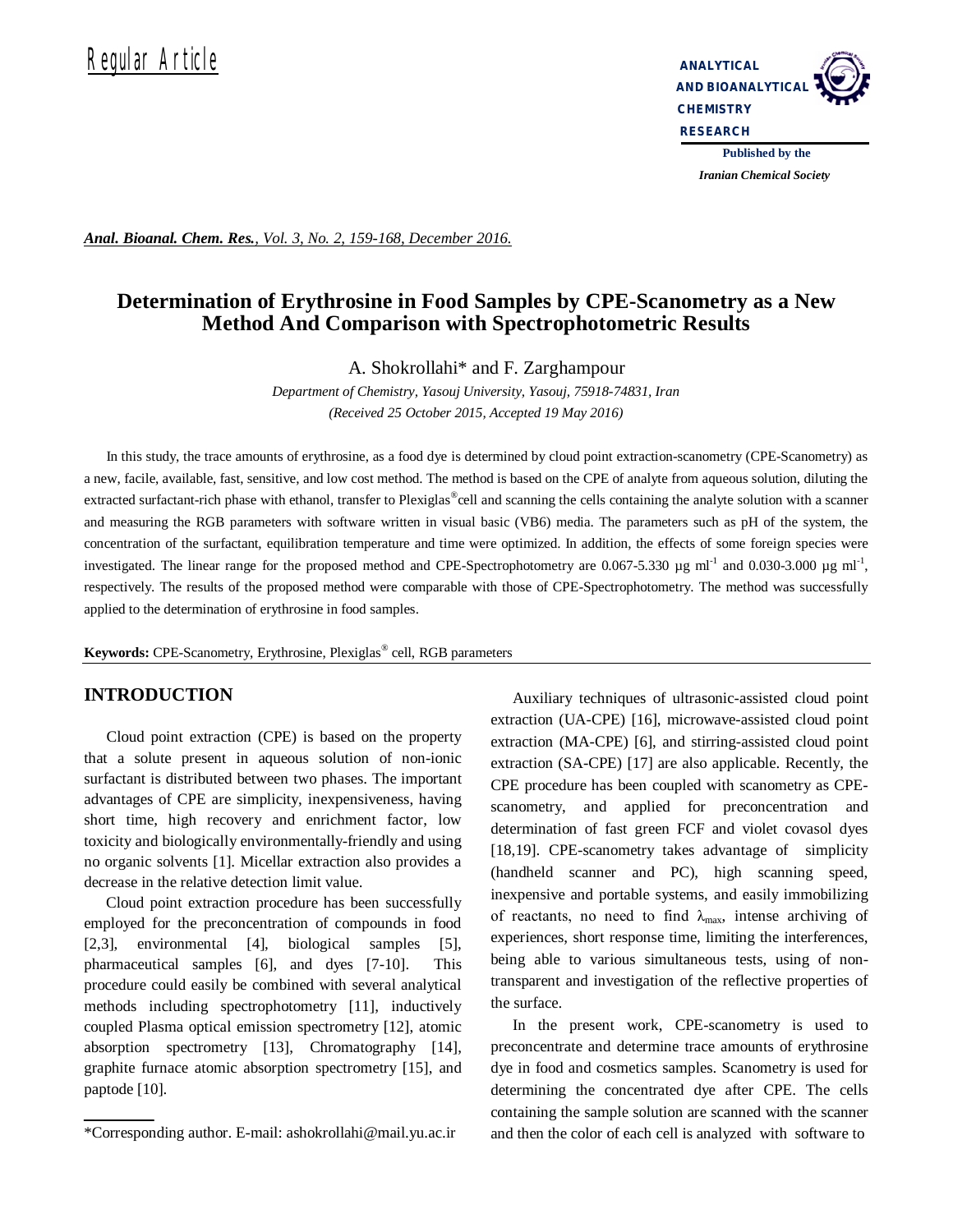

*Iranian Chemical Society* 

*Anal. Bioanal. Chem. Res., Vol. 3, No. 2, 159-168, December 2016.*

# **Determination of Erythrosine in Food Samples by CPE-Scanometry as a New Method And Comparison with Spectrophotometric Results**

A. Shokrollahi\* and F. Zarghampour

*Department of Chemistry, Yasouj University, Yasouj, 75918-74831, Iran (Received 25 October 2015, Accepted 19 May 2016)*

In this study, the trace amounts of erythrosine, as a food dye is determined by cloud point extraction-scanometry (CPE-Scanometry) as a new, facile, available, fast, sensitive, and low cost method. The method is based on the CPE of analyte from aqueous solution, diluting the extracted surfactant-rich phase with ethanol, transfer to Plexiglas®cell and scanning the cells containing the analyte solution with a scanner and measuring the RGB parameters with software written in visual basic (VB6) media. The parameters such as pH of the system, the concentration of the surfactant, equilibration temperature and time were optimized. In addition, the effects of some foreign species were investigated. The linear range for the proposed method and CPE-Spectrophotometry are  $0.067$ -5.330 µg ml<sup>-1</sup> and  $0.030$ -3.000 µg ml<sup>-1</sup>, respectively. The results of the proposed method were comparable with those of CPE-Spectrophotometry. The method was successfully applied to the determination of erythrosine in food samples.

**Keywords:** CPE-Scanometry, Erythrosine, Plexiglas® cell, RGB parameters

## **INTRODUCTION**

Cloud point extraction (CPE) is based on the property that a solute present in aqueous solution of non-ionic surfactant is distributed between two phases. The important advantages of CPE are simplicity, inexpensiveness, having short time, high recovery and enrichment factor, low toxicity and biologically environmentally-friendly and using no organic solvents [1]. Micellar extraction also provides a decrease in the relative detection limit value.

Cloud point extraction procedure has been successfully employed for the preconcentration of compounds in food [2,3], environmental [4], biological samples [5], pharmaceutical samples [6], and dyes [7-10]. This procedure could easily be combined with several analytical methods including spectrophotometry [11], inductively coupled Plasma optical emission spectrometry [12], atomic absorption spectrometry [13], Chromatography [14], graphite furnace atomic absorption spectrometry [15], and paptode [10].

Auxiliary techniques of ultrasonic-assisted cloud point extraction (UA-CPE) [16], microwave-assisted cloud point extraction (MA-CPE) [6], and stirring-assisted cloud point extraction (SA-CPE) [17] are also applicable. Recently, the CPE procedure has been coupled with scanometry as CPEscanometry, and applied for preconcentration and determination of fast green FCF and violet covasol dyes [18,19]. CPE-scanometry takes advantage of simplicity (handheld scanner and PC), high scanning speed, inexpensive and portable systems, and easily immobilizing of reactants, no need to find  $\lambda_{\text{max}}$ , intense archiving of experiences, short response time, limiting the interferences, being able to various simultaneous tests, using of nontransparent and investigation of the reflective properties of the surface.

In the present work, CPE-scanometry is used to preconcentrate and determine trace amounts of erythrosine dye in food and cosmetics samples. Scanometry is used for determining the concentrated dye after CPE. The cells containing the sample solution are scanned with the scanner and then the color of each cell is analyzed with software to

<sup>\*</sup>Corresponding author. E-mail: ashokrollahi@mail.yu.ac.ir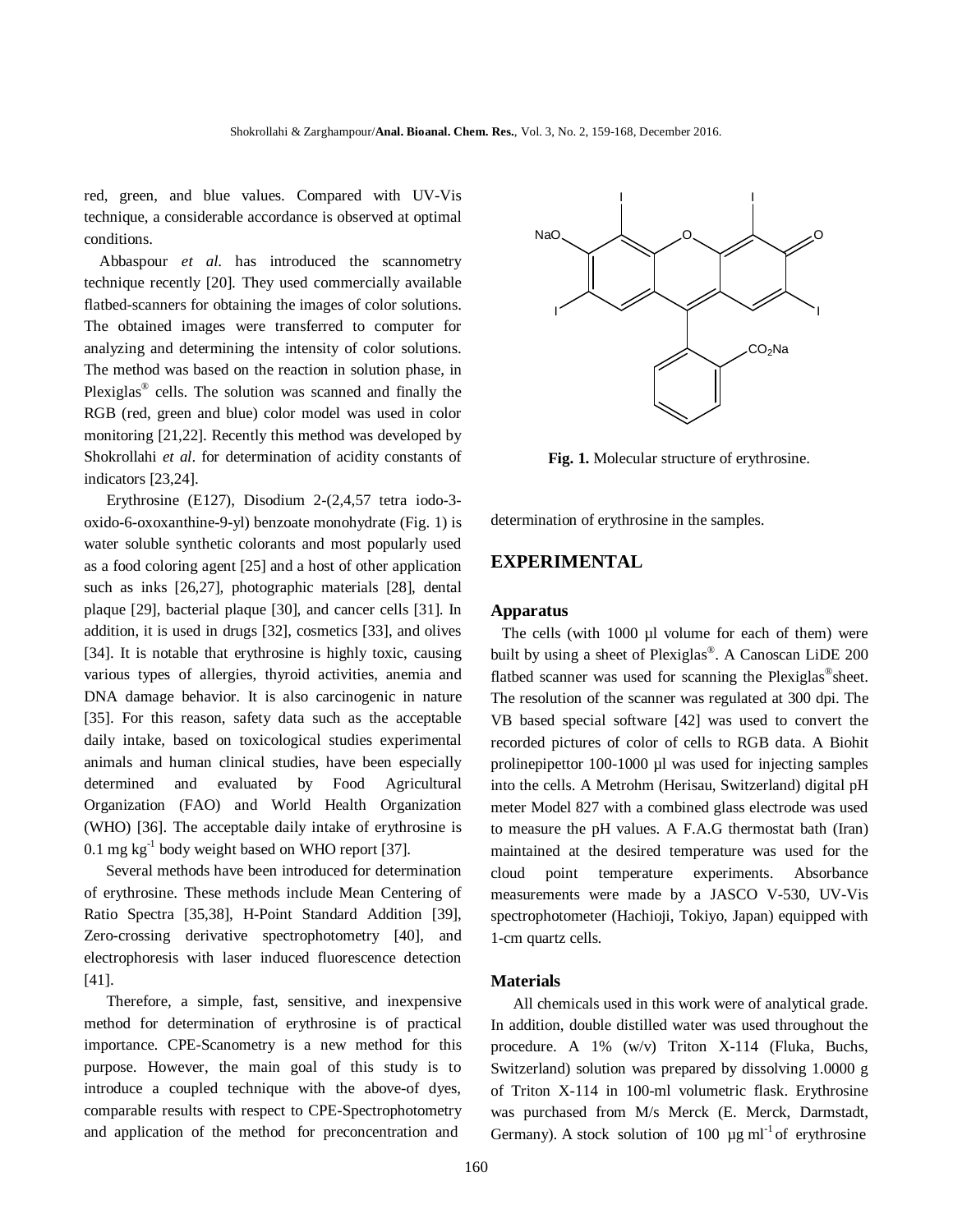red, green, and blue values. Compared with UV-Vis technique, a considerable accordance is observed at optimal conditions.

 Abbaspour *et al*. has introduced the scannometry technique recently [20]*.* They used commercially available flatbed-scanners for obtaining the images of color solutions. The obtained images were transferred to computer for analyzing and determining the intensity of color solutions. The method was based on the reaction in solution phase, in Plexiglas<sup>®</sup> cells. The solution was scanned and finally the RGB (red, green and blue) color model was used in color monitoring [21,22]. Recently this method was developed by Shokrollahi *et al*. for determination of acidity constants of indicators [23,24].

Erythrosine (E127), Disodium 2-(2,4,57 tetra iodo-3 oxido-6-oxoxanthine-9-yl) benzoate monohydrate (Fig. 1) is water soluble synthetic colorants and most popularly used as a food coloring agent [25] and a host of other application such as inks [26,27], photographic materials [28], dental plaque [29], bacterial plaque [30], and cancer cells [31]. In addition, it is used in drugs [32], cosmetics [33], and olives [34]. It is notable that erythrosine is highly toxic, causing various types of allergies, thyroid activities, anemia and DNA damage behavior. It is also carcinogenic in nature [35]. For this reason, safety data such as the acceptable daily intake, based on toxicological studies experimental animals and human clinical studies, have been especially determined and evaluated by Food Agricultural Organization (FAO) and World Health Organization (WHO) [36]. The acceptable daily intake of erythrosine is  $0.1 \text{ mg kg}^{-1}$  body weight based on WHO report [37].

Several methods have been introduced for determination of erythrosine. These methods include Mean Centering of Ratio Spectra [35,38], H-Point Standard Addition [39], Zero-crossing derivative spectrophotometry [40], and electrophoresis with laser induced fluorescence detection [41].

Therefore, a simple, fast, sensitive, and inexpensive method for determination of erythrosine is of practical importance. CPE-Scanometry is a new method for this purpose. However, the main goal of this study is to introduce a coupled technique with the above-of dyes, comparable results with respect to CPE-Spectrophotometry and application of the method for preconcentration and



**Fig. 1.** Molecular structure of erythrosine.

determination of erythrosine in the samples.

## **EXPERIMENTAL**

#### **Apparatus**

The cells (with 1000 µl volume for each of them) were built by using a sheet of Plexiglas® . A Canoscan LiDE 200 flatbed scanner was used for scanning the Plexiglas®sheet. The resolution of the scanner was regulated at 300 dpi. The VB based special software [42] was used to convert the recorded pictures of color of cells to RGB data. A Biohit prolinepipettor 100-1000 µl was used for injecting samples into the cells. A Metrohm (Herisau, Switzerland) digital pH meter Model 827 with a combined glass electrode was used to measure the pH values. A F.A.G thermostat bath (Iran) maintained at the desired temperature was used for the cloud point temperature experiments. Absorbance measurements were made by a JASCO V-530, UV-Vis spectrophotometer (Hachioji, Tokiyo, Japan) equipped with 1-cm quartz cells.

#### **Materials**

All chemicals used in this work were of analytical grade. In addition, double distilled water was used throughout the procedure. A 1% (w/v) Triton X-114 (Fluka, Buchs, Switzerland) solution was prepared by dissolving 1.0000 g of Triton X-114 in 100-ml volumetric flask. Erythrosine was purchased from M/s Merck (E. Merck, Darmstadt, Germany). A stock solution of 100  $\mu$ g ml<sup>-1</sup> of erythrosine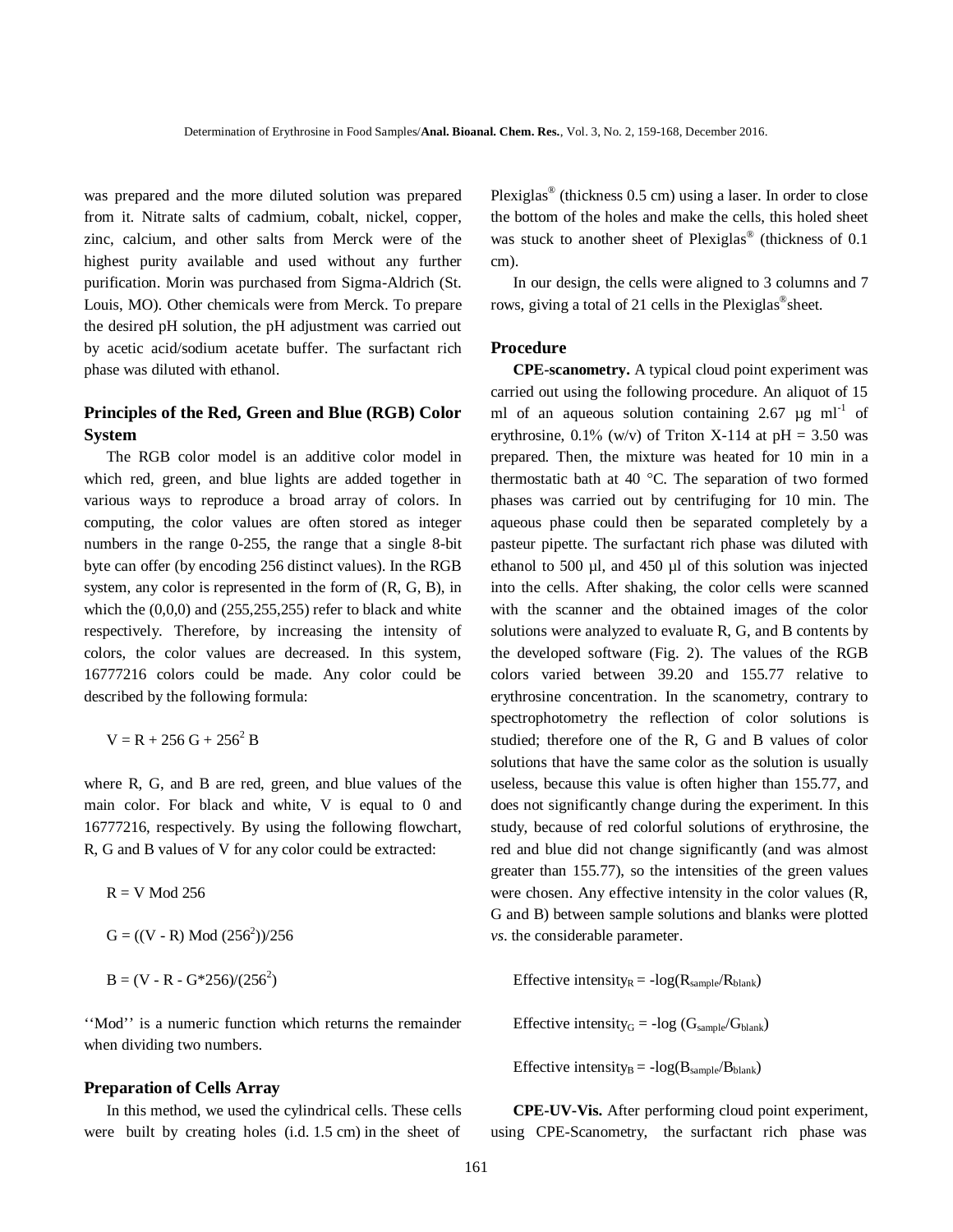was prepared and the more diluted solution was prepared from it. Nitrate salts of cadmium, cobalt, nickel, copper, zinc, calcium, and other salts from Merck were of the highest purity available and used without any further purification. Morin was purchased from Sigma-Aldrich (St. Louis, MO). Other chemicals were from Merck. To prepare the desired pH solution, the pH adjustment was carried out by acetic acid/sodium acetate buffer. The surfactant rich phase was diluted with ethanol.

## **Principles of the Red, Green and Blue (RGB) Color System**

The RGB color model is an additive color model in which red, green, and blue lights are added together in various ways to reproduce a broad array of colors. In computing, the color values are often stored as integer numbers in the range 0-255, the range that a single 8-bit byte can offer (by encoding 256 distinct values). In the RGB system, any color is represented in the form of (R, G, B), in which the  $(0,0,0)$  and  $(255,255,255)$  refer to black and white respectively. Therefore, by increasing the intensity of colors, the color values are decreased. In this system, 16777216 colors could be made. Any color could be described by the following formula:

$$
V = R + 256 \text{ G} + 256^2 \text{ B}
$$

where R, G, and B are red, green, and blue values of the main color. For black and white, V is equal to 0 and 16777216, respectively. By using the following flowchart, R, G and B values of V for any color could be extracted:

$$
R = V \text{ Mod } 256
$$
  

$$
G = ((V - R) \text{ Mod } (2562)/256
$$
  

$$
B = (V - R - G*256)/(2562)
$$

''Mod'' is a numeric function which returns the remainder when dividing two numbers.

### **Preparation of Cells Array**

In this method, we used the cylindrical cells. These cells were built by creating holes (i.d. 1.5 cm) in the sheet of

Plexiglas® (thickness 0.5 cm) using a laser. In order to close the bottom of the holes and make the cells, this holed sheet was stuck to another sheet of Plexiglas® (thickness of 0.1 cm).

In our design, the cells were aligned to 3 columns and 7 rows, giving a total of 21 cells in the Plexiglas<sup>®</sup>sheet.

#### **Procedure**

**CPE-scanometry.** A typical cloud point experiment was carried out using the following procedure. An aliquot of 15 ml of an aqueous solution containing  $2.67 \text{ µg} \text{ ml}^{-1}$  of erythrosine, 0.1% (w/v) of Triton X-114 at pH = 3.50 was prepared. Then, the mixture was heated for 10 min in a thermostatic bath at 40  $^{\circ}$ C. The separation of two formed phases was carried out by centrifuging for 10 min. The aqueous phase could then be separated completely by a pasteur pipette. The surfactant rich phase was diluted with ethanol to 500 µl, and 450 µl of this solution was injected into the cells. After shaking, the color cells were scanned with the scanner and the obtained images of the color solutions were analyzed to evaluate R, G, and B contents by the developed software (Fig. 2). The values of the RGB colors varied between 39.20 and 155.77 relative to erythrosine concentration. In the scanometry, contrary to spectrophotometry the reflection of color solutions is studied; therefore one of the R, G and B values of color solutions that have the same color as the solution is usually useless, because this value is often higher than 155.77, and does not significantly change during the experiment. In this study, because of red colorful solutions of erythrosine, the red and blue did not change significantly (and was almost greater than 155.77), so the intensities of the green values were chosen. Any effective intensity in the color values (R, G and B) between sample solutions and blanks were plotted *vs*. the considerable parameter.

Effective intensity<sub>R</sub> =  $-log(R_{sample}/R_{blank})$ 

Effective intensity<sub>G</sub> = -log ( $G_{sample}/G_{blank}$ )

Effective intensity<sub>B</sub> =  $-log(B_{sample}/B_{blank})$ 

**CPE-UV-Vis.** After performing cloud point experiment, using CPE-Scanometry, the surfactant rich phase was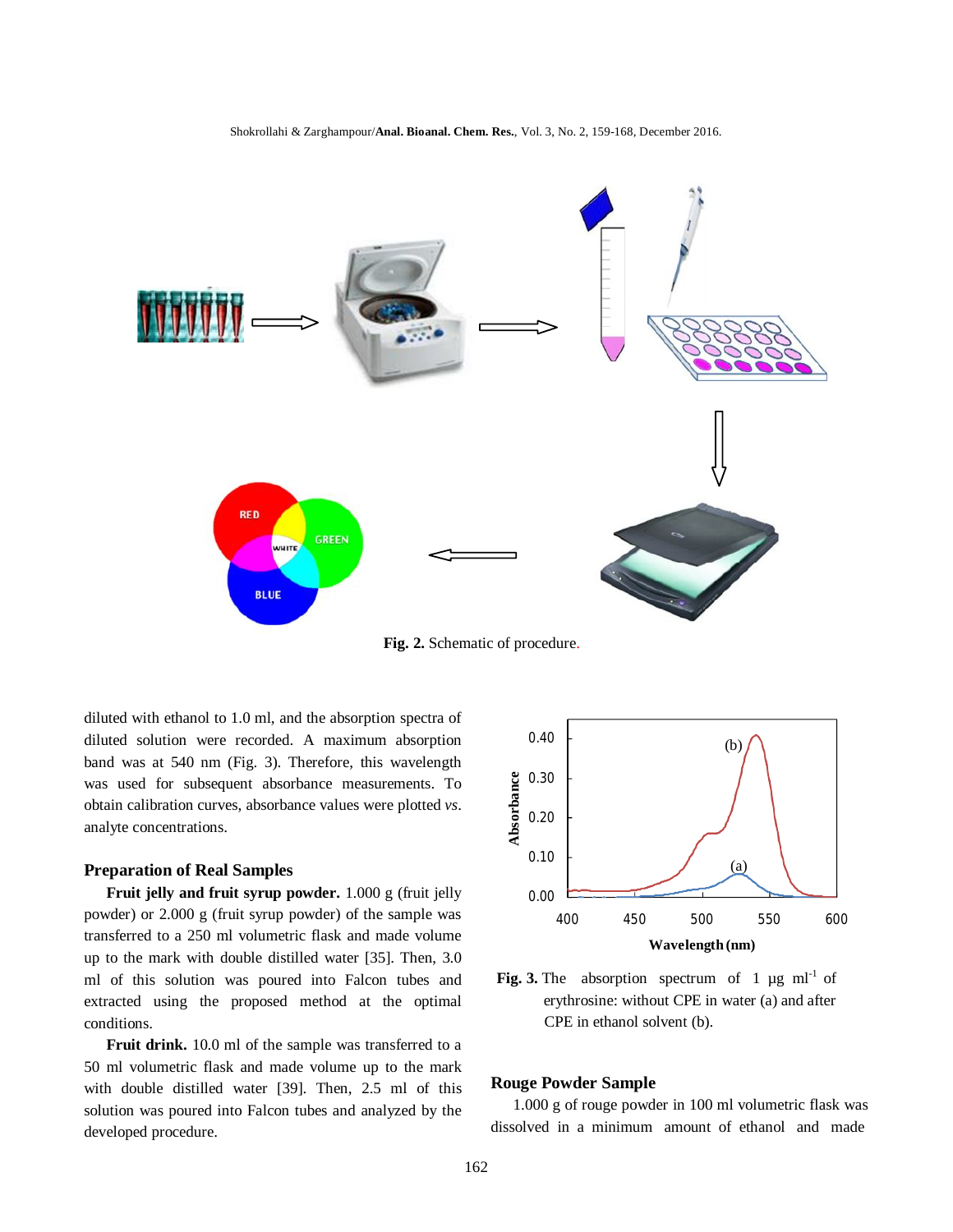

**Fig. 2.** Schematic of procedure.

diluted with ethanol to 1.0 ml, and the absorption spectra of diluted solution were recorded. A maximum absorption band was at 540 nm (Fig. 3). Therefore, this wavelength was used for subsequent absorbance measurements. To obtain calibration curves, absorbance values were plotted *vs*. analyte concentrations.

### **Preparation of Real Samples**

**Fruit jelly and fruit syrup powder.** 1.000 g (fruit jelly powder) or 2.000 g (fruit syrup powder) of the sample was transferred to a 250 ml volumetric flask and made volume up to the mark with double distilled water [35]. Then, 3.0 ml of this solution was poured into Falcon tubes and extracted using the proposed method at the optimal conditions.

**Fruit drink.** 10.0 ml of the sample was transferred to a 50 ml volumetric flask and made volume up to the mark with double distilled water [39]. Then, 2.5 ml of this solution was poured into Falcon tubes and analyzed by the developed procedure.



**Fig. 3.** The absorption spectrum of 1  $\mu$ g ml<sup>-1</sup> of erythrosine: without CPE in water (a) and after CPE in ethanol solvent (b).

#### **Rouge Powder Sample**

1.000 g of rouge powder in 100 ml volumetric flask was dissolved in a minimum amount of ethanol and made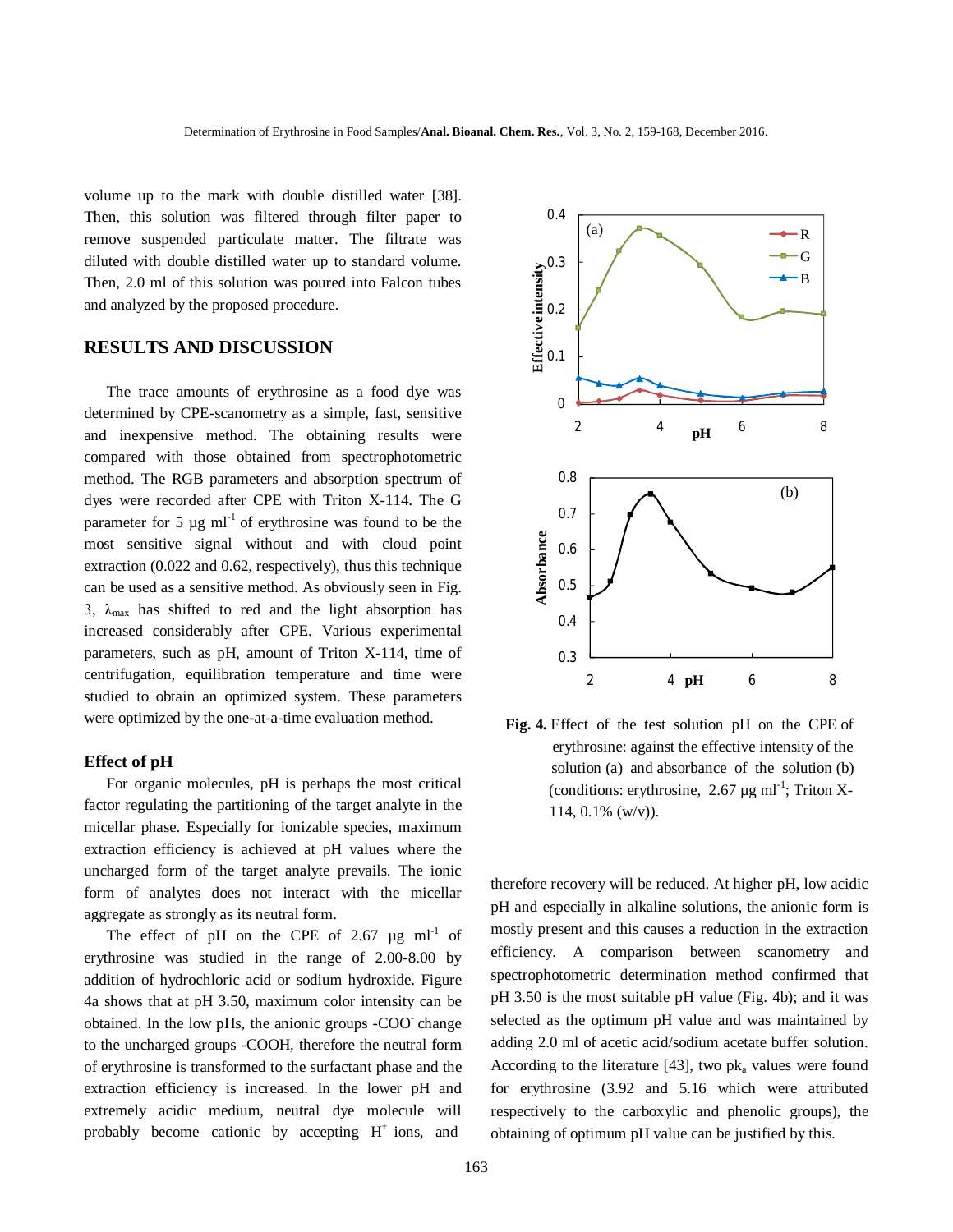volume up to the mark with double distilled water [38]. Then, this solution was filtered through filter paper to remove suspended particulate matter. The filtrate was diluted with double distilled water up to standard volume. Then, 2.0 ml of this solution was poured into Falcon tubes and analyzed by the proposed procedure.

## **RESULTS AND DISCUSSION**

The trace amounts of erythrosine as a food dye was determined by CPE-scanometry as a simple, fast, sensitive and inexpensive method. The obtaining results were compared with those obtained from spectrophotometric method. The RGB parameters and absorption spectrum of dyes were recorded after CPE with Triton X-114. The G parameter for 5  $\mu$ g ml<sup>-1</sup> of erythrosine was found to be the most sensitive signal without and with cloud point extraction (0.022 and 0.62, respectively), thus this technique can be used as a sensitive method. As obviously seen in Fig. 3,  $\lambda_{\text{max}}$  has shifted to red and the light absorption has increased considerably after CPE. Various experimental parameters, such as pH, amount of Triton X-114, time of centrifugation, equilibration temperature and time were studied to obtain an optimized system. These parameters were optimized by the one-at-a-time evaluation method.

### **Effect of pH**

For organic molecules, pH is perhaps the most critical factor regulating the partitioning of the target analyte in the micellar phase. Especially for ionizable species, maximum extraction efficiency is achieved at pH values where the uncharged form of the target analyte prevails. The ionic form of analytes does not interact with the micellar aggregate as strongly as its neutral form.

The effect of pH on the CPE of 2.67  $\mu$ g ml<sup>-1</sup> of erythrosine was studied in the range of 2.00-8.00 by addition of hydrochloric acid or sodium hydroxide. Figure 4a shows that at pH 3.50, maximum color intensity can be obtained. In the low pHs, the anionic groups -COO change to the uncharged groups -COOH, therefore the neutral form of erythrosine is transformed to the surfactant phase and the extraction efficiency is increased. In the lower pH and extremely acidic medium, neutral dye molecule will probably become cationic by accepting H<sup>+</sup> ions, and



**Fig. 4.** Effect of the test solution pH on the CPE of erythrosine: against the effective intensity of the solution (a) and absorbance of the solution (b) (conditions: erythrosine,  $2.67 \mu g$  ml<sup>-1</sup>; Triton X-114, 0.1% (w/v)).

therefore recovery will be reduced. At higher pH, low acidic pH and especially in alkaline solutions, the anionic form is mostly present and this causes a reduction in the extraction efficiency. A comparison between scanometry and spectrophotometric determination method confirmed that pH 3.50 is the most suitable pH value (Fig. 4b); and it was selected as the optimum pH value and was maintained by adding 2.0 ml of acetic acid/sodium acetate buffer solution. According to the literature [43], two  $pk_a$  values were found for erythrosine (3.92 and 5.16 which were attributed respectively to the carboxylic and phenolic groups), the obtaining of optimum pH value can be justified by this.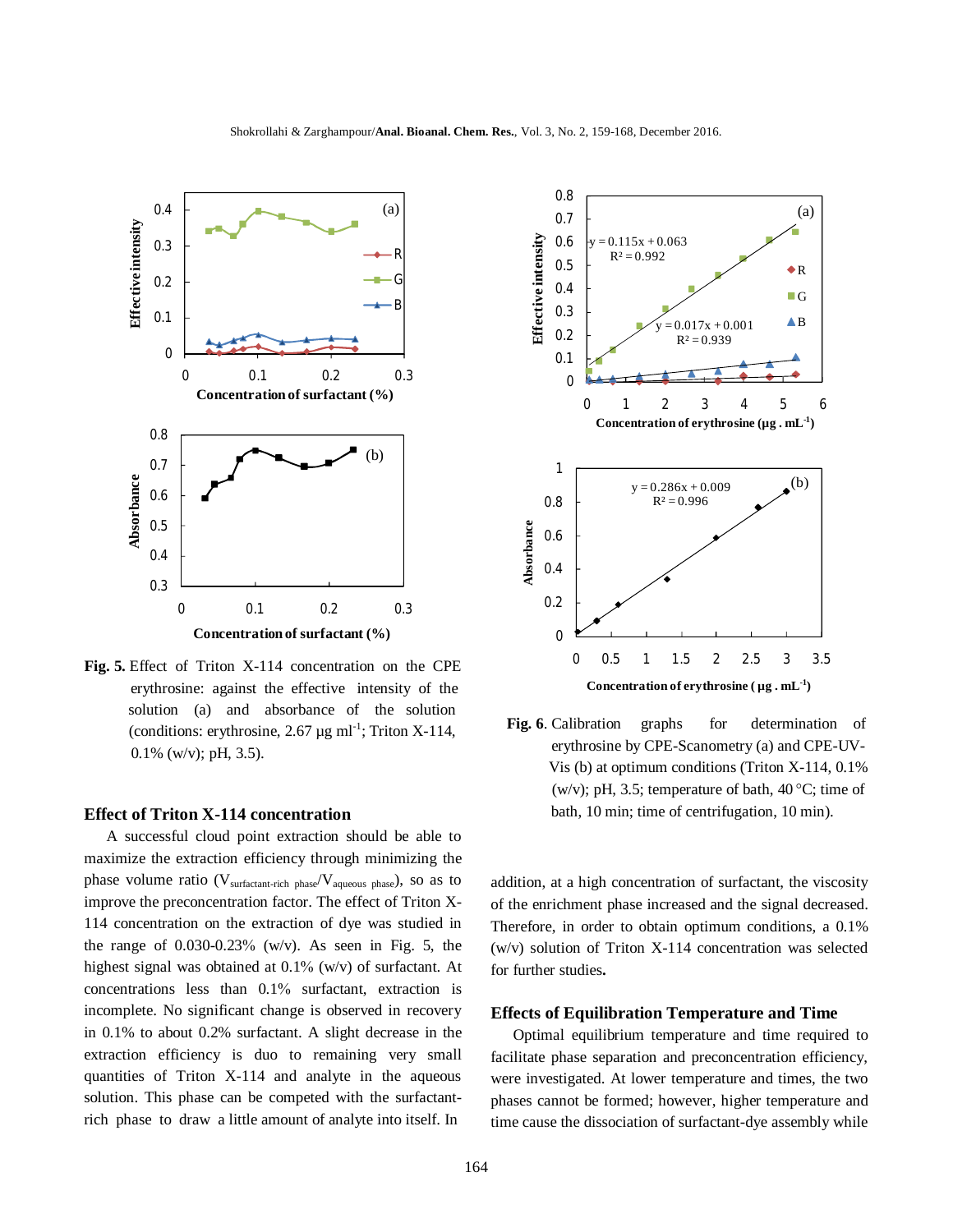

**Fig. 5.** Effect of Triton X-114 concentration on the CPE erythrosine: against the effective intensity of the solution (a) and absorbance of the solution (conditions: erythrosine, 2.67  $\mu$ g ml<sup>-1</sup>; Triton X-114, 0.1% (w/v); pH, 3.5).

### **Effect of Triton X-114 concentration**

A successful cloud point extraction should be able to maximize the extraction efficiency through minimizing the phase volume ratio ( $V_{\text{surface}}$ <sub>rich phase</sub>/ $V_{\text{aqueous phase}}$ ), so as to improve the preconcentration factor. The effect of Triton X-114 concentration on the extraction of dye was studied in the range of  $0.030 - 0.23\%$  (w/v). As seen in Fig. 5, the highest signal was obtained at  $0.1\%$  (w/v) of surfactant. At concentrations less than  $0.1\%$  surfactant, extraction is incomplete. No significant change is observed in recovery in 0.1% to about 0.2% surfactant. A slight decrease in the extraction efficiency is duo to remaining very small quantities of Triton X-114 and analyte in the aqueous solution. This phase can be competed with the surfactantrich phase to draw a little amount of analyte into itself. In



Fig. 6. Calibration graphs for determination of erythrosine by CPE-Scanometry (a) and CPE-UV- Vis (b) at optimum conditions (Triton X-114, 0.1% (w/v); pH, 3.5; temperature of bath,  $40^{\circ}$ C; time of bath, 10 min; time of centrifugation, 10 min).

addition, at a high concentration of surfactant, the viscosity of the enrichment phase increased and the signal decreased. Therefore, in order to obtain optimum conditions, a 0.1% (w/v) solution of Triton X-114 concentration was selected for further studies**.**

### **Effects of Equilibration Temperature and Time**

Optimal equilibrium temperature and time required to facilitate phase separation and preconcentration efficiency, were investigated. At lower temperature and times, the two phases cannot be formed; however, higher temperature and time cause the dissociation of surfactant-dye assembly while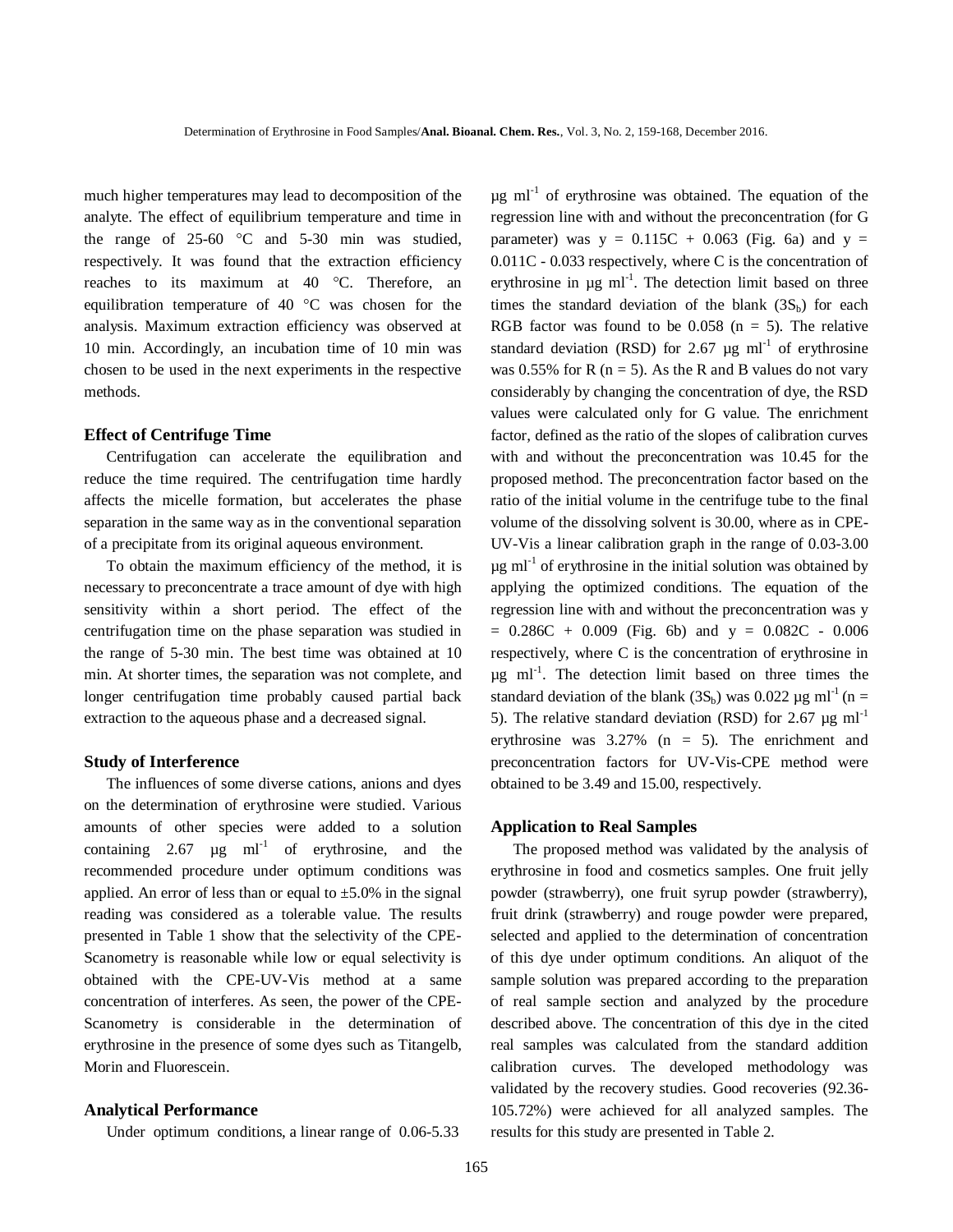much higher temperatures may lead to decomposition of the analyte. The effect of equilibrium temperature and time in the range of  $25-60$  °C and  $5-30$  min was studied, respectively. It was found that the extraction efficiency reaches to its maximum at 40 °C. Therefore, an equilibration temperature of 40 °C was chosen for the analysis. Maximum extraction efficiency was observed at 10 min. Accordingly, an incubation time of 10 min was chosen to be used in the next experiments in the respective methods.

### **Effect of Centrifuge Time**

Centrifugation can accelerate the equilibration and reduce the time required. The centrifugation time hardly affects the micelle formation, but accelerates the phase separation in the same way as in the conventional separation of a precipitate from its original aqueous environment.

To obtain the maximum efficiency of the method, it is necessary to preconcentrate a trace amount of dye with high sensitivity within a short period. The effect of the centrifugation time on the phase separation was studied in the range of 5-30 min. The best time was obtained at 10 min. At shorter times, the separation was not complete, and longer centrifugation time probably caused partial back extraction to the aqueous phase and a decreased signal.

#### **Study of Interference**

The influences of some diverse cations, anions and dyes on the determination of erythrosine were studied. Various amounts of other species were added to a solution containing 2.67  $\mu$ g ml<sup>-1</sup> of erythrosine, and the recommended procedure under optimum conditions was applied. An error of less than or equal to  $\pm$ 5.0% in the signal reading was considered as a tolerable value. The results presented in Table 1 show that the selectivity of the CPE-Scanometry is reasonable while low or equal selectivity is obtained with the CPE-UV-Vis method at a same concentration of interferes. As seen, the power of the CPE-Scanometry is considerable in the determination of erythrosine in the presence of some dyes such as Titangelb, Morin and Fluorescein.

#### **Analytical Performance**

Under optimum conditions, a linear range of 0.06-5.33

 $\mu$ g ml<sup>-1</sup> of erythrosine was obtained. The equation of the regression line with and without the preconcentration (for G parameter) was  $y = 0.115C + 0.063$  (Fig. 6a) and  $y =$ 0.011C - 0.033 respectively, where C is the concentration of erythrosine in  $\mu$ g ml<sup>-1</sup>. The detection limit based on three times the standard deviation of the blank  $(3S_b)$  for each RGB factor was found to be  $0.058$  (n = 5). The relative standard deviation (RSD) for 2.67  $\mu$ g ml<sup>-1</sup> of erythrosine was 0.55% for R ( $n = 5$ ). As the R and B values do not vary considerably by changing the concentration of dye, the RSD values were calculated only for G value. The enrichment factor, defined as the ratio of the slopes of calibration curves with and without the preconcentration was 10.45 for the proposed method. The preconcentration factor based on the ratio of the initial volume in the centrifuge tube to the final volume of the dissolving solvent is 30.00, where as in CPE-UV-Vis a linear calibration graph in the range of 0.03-3.00  $\mu$ g ml<sup>-1</sup> of erythrosine in the initial solution was obtained by applying the optimized conditions. The equation of the regression line with and without the preconcentration was y  $= 0.286C + 0.009$  (Fig. 6b) and y = 0.082C - 0.006 respectively, where C is the concentration of erythrosine in  $\mu$ g ml<sup>-1</sup>. The detection limit based on three times the standard deviation of the blank  $(3S_b)$  was 0.022 µg ml<sup>-1</sup> (n = 5). The relative standard deviation (RSD) for 2.67  $\mu$ g ml<sup>-1</sup> erythrosine was 3.27% (n = 5). The enrichment and preconcentration factors for UV-Vis-CPE method were obtained to be 3.49 and 15.00, respectively.

#### **Application to Real Samples**

The proposed method was validated by the analysis of erythrosine in food and cosmetics samples. One fruit jelly powder (strawberry), one fruit syrup powder (strawberry), fruit drink (strawberry) and rouge powder were prepared, selected and applied to the determination of concentration of this dye under optimum conditions. An aliquot of the sample solution was prepared according to the preparation of real sample section and analyzed by the procedure described above. The concentration of this dye in the cited real samples was calculated from the standard addition calibration curves. The developed methodology was validated by the recovery studies. Good recoveries (92.36- 105.72%) were achieved for all analyzed samples. The results for this study are presented in Table 2.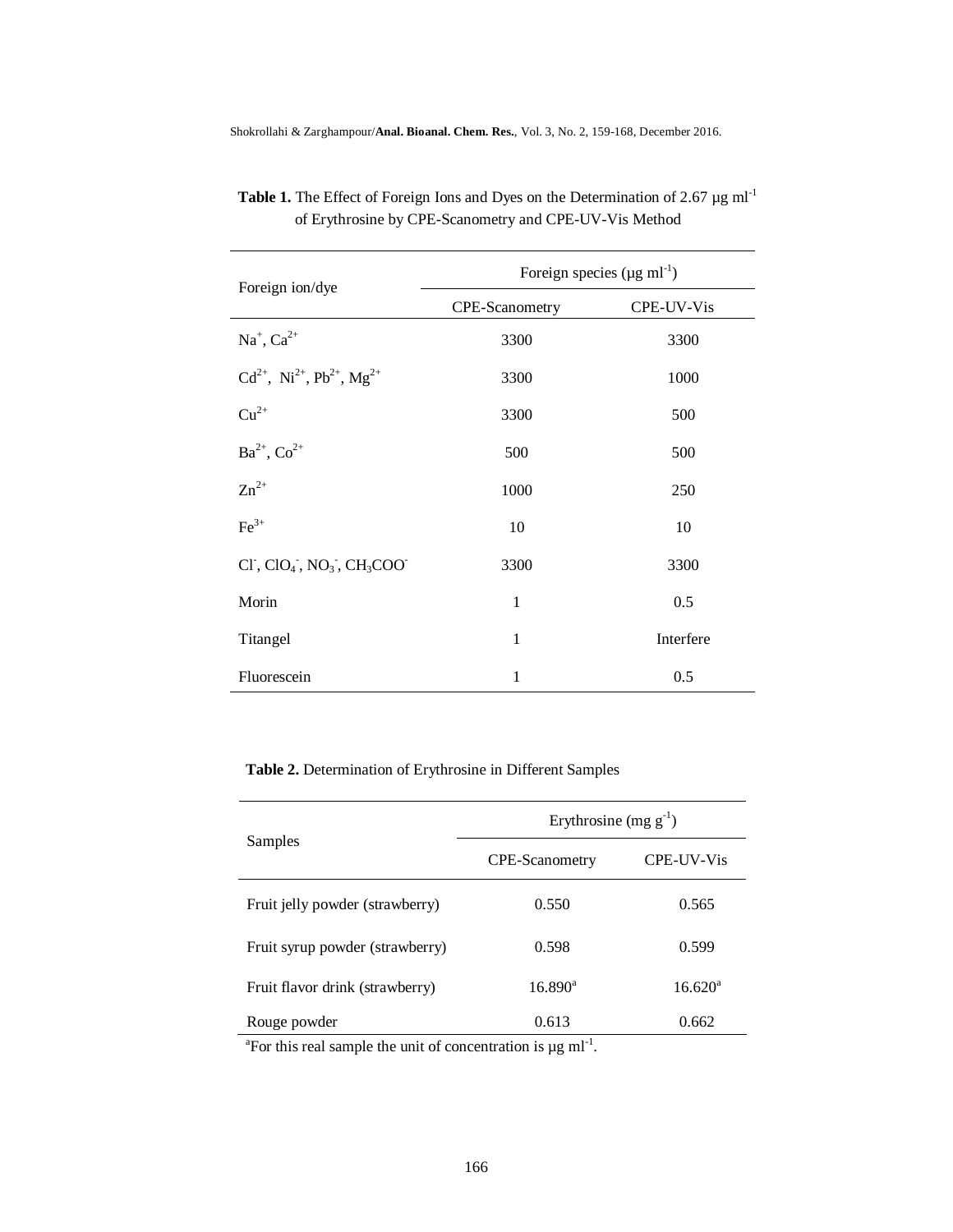Shokrollahi & Zarghampour/**Anal. Bioanal. Chem. Res.**, Vol. 3, No. 2, 159-168, December 2016.

| Foreign ion/dye                                                             | Foreign species ( $\mu$ g ml <sup>-1</sup> ) |            |  |  |
|-----------------------------------------------------------------------------|----------------------------------------------|------------|--|--|
|                                                                             | CPE-Scanometry                               | CPE-UV-Vis |  |  |
| $Na^+$ , $Ca^{2+}$                                                          | 3300                                         | 3300       |  |  |
| $Cd^{2+}$ , $Ni^{2+}$ , $Pb^{2+}$ , $Mg^{2+}$                               | 3300                                         | 1000       |  |  |
| $Cu^{2+}$                                                                   | 3300                                         | 500        |  |  |
| $Ba^{2+}$ , $Co^{2+}$                                                       | 500                                          | 500        |  |  |
| $Zn^{2+}$                                                                   | 1000                                         | 250        |  |  |
| $\text{Fe}^{3+}$                                                            | 10                                           | 10         |  |  |
| $Cl^{\dagger}$ , $ClO_4^{\dagger}$ , $NO_3^{\dagger}$ , $CH_3COO^{\dagger}$ | 3300                                         | 3300       |  |  |
| Morin                                                                       | $\mathbf{1}$                                 | 0.5        |  |  |
| Titangel                                                                    | 1                                            | Interfere  |  |  |
| Fluorescein                                                                 | 1                                            | 0.5        |  |  |

**Table 1.** The Effect of Foreign Ions and Dyes on the Determination of 2.67  $\mu$ g ml<sup>-1</sup> of Erythrosine by CPE-Scanometry and CPE-UV-Vis Method

## **Table 2.** Determination of Erythrosine in Different Samples

|                                 | Erythrosine (mg $g^{-1}$ ) |                   |  |  |
|---------------------------------|----------------------------|-------------------|--|--|
| Samples                         | <b>CPE-Scanometry</b>      | <b>CPE-UV-Vis</b> |  |  |
| Fruit jelly powder (strawberry) | 0.550                      | 0.565             |  |  |
| Fruit syrup powder (strawberry) | 0.598                      | 0.599             |  |  |
| Fruit flavor drink (strawberry) | $16.890^{\circ}$           | $16.620^{\circ}$  |  |  |
| Rouge powder                    | 0.613                      | 0.662             |  |  |

<sup>a</sup>For this real sample the unit of concentration is  $\mu$ g ml<sup>-1</sup>.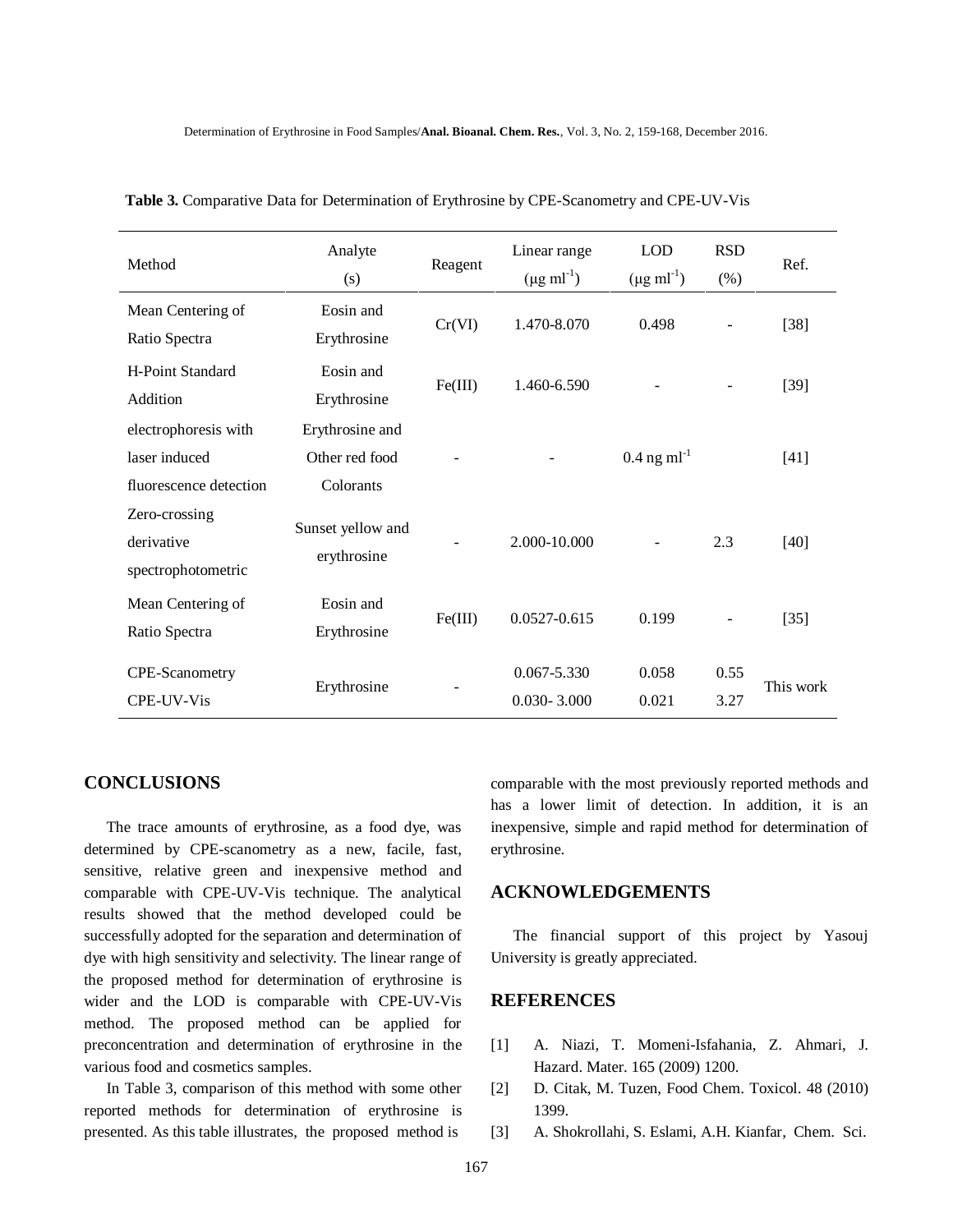| Method                                                          | Analyte<br>(s)                                 | Reagent | Linear range<br>$(\mu g \text{ ml}^{-1})$ | <b>LOD</b><br>$(\mu g \, \text{ml}^{-1})$ | <b>RSD</b><br>$(\% )$ | Ref.      |
|-----------------------------------------------------------------|------------------------------------------------|---------|-------------------------------------------|-------------------------------------------|-----------------------|-----------|
| Mean Centering of<br>Ratio Spectra                              | Eosin and<br>Erythrosine                       | Cr(VI)  | 1.470-8.070                               | 0.498                                     |                       | $[38]$    |
| <b>H-Point Standard</b><br>Addition                             | Eosin and<br>Erythrosine                       | Fe(III) | 1.460-6.590                               |                                           |                       | $[39]$    |
| electrophoresis with<br>laser induced<br>fluorescence detection | Erythrosine and<br>Other red food<br>Colorants |         |                                           | $0.4$ ng ml <sup>-1</sup>                 |                       | $[41]$    |
| Zero-crossing<br>derivative<br>spectrophotometric               | Sunset yellow and<br>erythrosine               |         | 2.000-10.000                              |                                           | 2.3                   | $[40]$    |
| Mean Centering of<br>Ratio Spectra                              | Eosin and<br>Erythrosine                       | Fe(III) | 0.0527-0.615                              | 0.199                                     |                       | $[35]$    |
| CPE-Scanometry<br>CPE-UV-Vis                                    | Erythrosine                                    |         | 0.067-5.330<br>$0.030 - 3.000$            | 0.058<br>0.021                            | 0.55<br>3.27          | This work |

 **Table 3.** Comparative Data for Determination of Erythrosine by CPE-Scanometry and CPE-UV-Vis

## **CONCLUSIONS**

The trace amounts of erythrosine, as a food dye, was determined by CPE-scanometry as a new, facile, fast, sensitive, relative green and inexpensive method and comparable with CPE-UV-Vis technique. The analytical results showed that the method developed could be successfully adopted for the separation and determination of dye with high sensitivity and selectivity. The linear range of the proposed method for determination of erythrosine is wider and the LOD is comparable with CPE-UV-Vis method. The proposed method can be applied for preconcentration and determination of erythrosine in the various food and cosmetics samples.

In Table 3, comparison of this method with some other reported methods for determination of erythrosine is presented. As this table illustrates, the proposed method is

comparable with the most previously reported methods and has a lower limit of detection. In addition, it is an inexpensive, simple and rapid method for determination of erythrosine.

### **ACKNOWLEDGEMENTS**

The financial support of this project by Yasouj University is greatly appreciated.

## **REFERENCES**

- [1] A. Niazi, T. Momeni-Isfahania, Z. Ahmari, J. Hazard. Mater. 165 (2009) 1200.
- [2] D. Citak, M. Tuzen, Food Chem. Toxicol. 48 (2010) 1399.
- [3] A. Shokrollahi, S. Eslami, A.H. Kianfar, Chem. Sci.